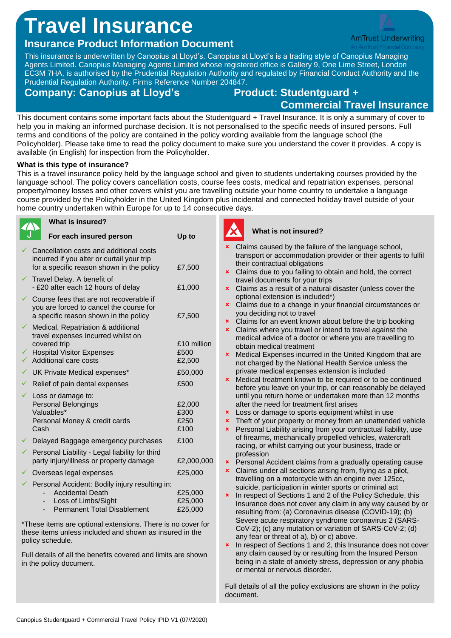## **Travel Insurance**

## **Insurance Product Information Document**

This insurance is underwritten by Canopius at Lloyd's. Canopius at Lloyd's is a trading style of Canopius Managing Agents Limited. Canopius Managing Agents Limited whose registered office is Gallery 9, One Lime Street, London EC3M 7HA, is authorised by the Prudential Regulation Authority and regulated by Financial Conduct Authority and the Prudential Regulation Authority. Firms Reference Number 204847.

### **Company: Canopius at Lloyd's Product: Studentguard +**

# **Commercial Travel Insurance**

This document contains some important facts about the Studentguard + Travel Insurance. It is only a summary of cover to help you in making an informed purchase decision. It is not personalised to the specific needs of insured persons. Full terms and conditions of the policy are contained in the policy wording available from the language school (the Policyholder). Please take time to read the policy document to make sure you understand the cover it provides. A copy is available (in English) for inspection from the Policyholder.

#### **What is this type of insurance?**

This is a travel insurance policy held by the language school and given to students undertaking courses provided by the language school. The policy covers cancellation costs, course fees costs, medical and repatriation expenses, personal property/money losses and other covers whilst you are travelling outside your home country to undertake a language course provided by the Policyholder in the United Kingdom plus incidental and connected holiday travel outside of your home country undertaken within Europe for up to 14 consecutive days.

|             | What is insured?                                                                                                                                      |                                |
|-------------|-------------------------------------------------------------------------------------------------------------------------------------------------------|--------------------------------|
|             | For each insured person                                                                                                                               | Up to                          |
|             | Cancellation costs and additional costs<br>incurred if you alter or curtail your trip<br>for a specific reason shown in the policy                    | £7,500                         |
| ✓           | Travel Delay. A benefit of<br>- £20 after each 12 hours of delay                                                                                      | £1,000                         |
|             | Course fees that are not recoverable if<br>you are forced to cancel the course for<br>a specific reason shown in the policy                           | £7,500                         |
| ✓<br>✓<br>✓ | Medical, Repatriation & additional<br>travel expenses Incurred whilst on<br>covered trip<br><b>Hospital Visitor Expenses</b><br>Additional care costs | £10 million<br>£500<br>£2,500  |
|             | UK Private Medical expenses*                                                                                                                          | £50,000                        |
|             | $\checkmark$ Relief of pain dental expenses                                                                                                           | £500                           |
| ✓           | Loss or damage to:<br>Personal Belongings<br>Valuables*<br>Personal Money & credit cards<br>Cash                                                      | £2,000<br>£300<br>£250<br>£100 |
|             | $\checkmark$ Delayed Baggage emergency purchases                                                                                                      | £100                           |
| ✓           | Personal Liability - Legal liability for third<br>party injury/illness or property damage                                                             | £2,000,000                     |
|             | Overseas legal expenses                                                                                                                               | £25,000                        |
|             | Personal Accident: Bodily injury resulting in:<br><b>Accidental Death</b><br>Loss of Limbs/Sight<br><b>Permanent Total Disablement</b>                | £25,000<br>£25,000<br>£25,000  |

\*These items are optional extensions. There is no cover for these items unless included and shown as insured in the

Full details of all the benefits covered and limits are shown in the policy document.

policy schedule.

#### **What is not insured?**

| $\mathbf{x}$ | Claims caused by the failure of the language school,<br>transport or accommodation provider or their agents to fulfil   |
|--------------|-------------------------------------------------------------------------------------------------------------------------|
|              | their contractual obligations                                                                                           |
| ×            | Claims due to you failing to obtain and hold, the correct                                                               |
|              | travel documents for your trips                                                                                         |
| ×            | Claims as a result of a natural disaster (unless cover the<br>optional extension is included*)                          |
| ×            | Claims due to a change in your financial circumstances or                                                               |
|              | you deciding not to travel                                                                                              |
| ×            | Claims for an event known about before the trip booking                                                                 |
| ×            | Claims where you travel or intend to travel against the                                                                 |
|              | medical advice of a doctor or where you are travelling to                                                               |
|              | obtain medical treatment                                                                                                |
| ×            | Medical Expenses incurred in the United Kingdom that are                                                                |
|              | not charged by the National Health Service unless the                                                                   |
|              | private medical expenses extension is included                                                                          |
| ×            | Medical treatment known to be required or to be continued                                                               |
|              | before you leave on your trip, or can reasonably be delayed                                                             |
|              | until you return home or undertaken more than 12 months                                                                 |
|              | after the need for treatment first arises                                                                               |
| ×            | Loss or damage to sports equipment whilst in use                                                                        |
| ×            | Theft of your property or money from an unattended vehicle                                                              |
| ×            | Personal Liability arising from your contractual liability, use                                                         |
|              | of firearms, mechanically propelled vehicles, watercraft                                                                |
|              | racing, or whilst carrying out your business, trade or                                                                  |
|              | profession                                                                                                              |
| ×<br>×       | Personal Accident claims from a gradually operating cause<br>Claims under all sections arising from, flying as a pilot, |
|              | travelling on a motorcycle with an engine over 125cc,                                                                   |
|              | suicide, participation in winter sports or criminal act                                                                 |
| ×            | In respect of Sections 1 and 2 of the Policy Schedule, this                                                             |
|              | Insurance does not cover any claim in any way caused by or                                                              |
|              | resulting from: (a) Coronavirus disease (COVID-19); (b)                                                                 |
|              | Severe acute respiratory syndrome coronavirus 2 (SARS-                                                                  |
|              | CoV-2); (c) any mutation or variation of SARS-CoV-2; (d)                                                                |
|              | any fear or threat of a), b) or c) above.                                                                               |
| ×            | In respect of Sections 1 and 2, this Insurance does not cover                                                           |
|              | any claim caused by or resulting from the Insured Person                                                                |
|              | being in a state of anxiety stress, depression or any phobia                                                            |
|              | or mental or nervous disorder.                                                                                          |
|              |                                                                                                                         |
|              |                                                                                                                         |

Full details of all the policy exclusions are shown in the policy document.

**AmTrust Underwriting**